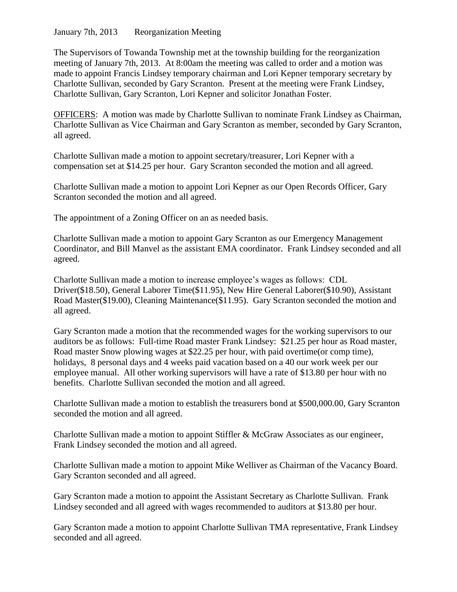January 7th, 2013 Reorganization Meeting

The Supervisors of Towanda Township met at the township building for the reorganization meeting of January 7th, 2013. At 8:00am the meeting was called to order and a motion was made to appoint Francis Lindsey temporary chairman and Lori Kepner temporary secretary by Charlotte Sullivan, seconded by Gary Scranton. Present at the meeting were Frank Lindsey, Charlotte Sullivan, Gary Scranton, Lori Kepner and solicitor Jonathan Foster.

OFFICERS: A motion was made by Charlotte Sullivan to nominate Frank Lindsey as Chairman, Charlotte Sullivan as Vice Chairman and Gary Scranton as member, seconded by Gary Scranton, all agreed.

Charlotte Sullivan made a motion to appoint secretary/treasurer, Lori Kepner with a compensation set at \$14.25 per hour. Gary Scranton seconded the motion and all agreed.

Charlotte Sullivan made a motion to appoint Lori Kepner as our Open Records Officer, Gary Scranton seconded the motion and all agreed.

The appointment of a Zoning Officer on an as needed basis.

Charlotte Sullivan made a motion to appoint Gary Scranton as our Emergency Management Coordinator, and Bill Manvel as the assistant EMA coordinator. Frank Lindsey seconded and all agreed.

Charlotte Sullivan made a motion to increase employee's wages as follows: CDL Driver(\$18.50), General Laborer Time(\$11.95), New Hire General Laborer(\$10.90), Assistant Road Master(\$19.00), Cleaning Maintenance(\$11.95). Gary Scranton seconded the motion and all agreed.

Gary Scranton made a motion that the recommended wages for the working supervisors to our auditors be as follows: Full-time Road master Frank Lindsey: \$21.25 per hour as Road master, Road master Snow plowing wages at \$22.25 per hour, with paid overtime(or comp time), holidays, 8 personal days and 4 weeks paid vacation based on a 40 our work week per our employee manual. All other working supervisors will have a rate of \$13.80 per hour with no benefits. Charlotte Sullivan seconded the motion and all agreed.

Charlotte Sullivan made a motion to establish the treasurers bond at \$500,000.00, Gary Scranton seconded the motion and all agreed.

Charlotte Sullivan made a motion to appoint Stiffler & McGraw Associates as our engineer, Frank Lindsey seconded the motion and all agreed.

Charlotte Sullivan made a motion to appoint Mike Welliver as Chairman of the Vacancy Board. Gary Scranton seconded and all agreed.

Gary Scranton made a motion to appoint the Assistant Secretary as Charlotte Sullivan. Frank Lindsey seconded and all agreed with wages recommended to auditors at \$13.80 per hour.

Gary Scranton made a motion to appoint Charlotte Sullivan TMA representative, Frank Lindsey seconded and all agreed.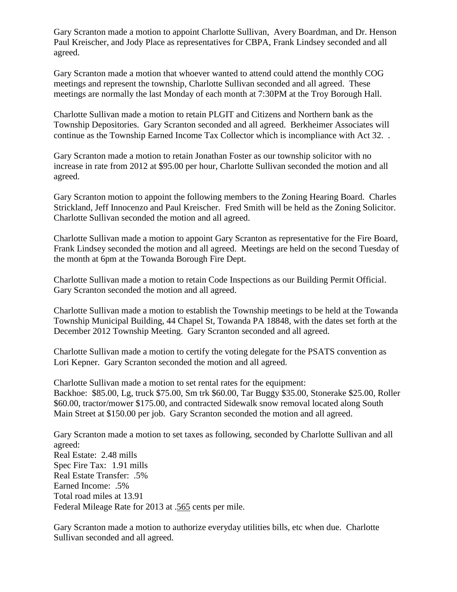Gary Scranton made a motion to appoint Charlotte Sullivan, Avery Boardman, and Dr. Henson Paul Kreischer, and Jody Place as representatives for CBPA, Frank Lindsey seconded and all agreed.

Gary Scranton made a motion that whoever wanted to attend could attend the monthly COG meetings and represent the township, Charlotte Sullivan seconded and all agreed. These meetings are normally the last Monday of each month at 7:30PM at the Troy Borough Hall.

Charlotte Sullivan made a motion to retain PLGIT and Citizens and Northern bank as the Township Depositories. Gary Scranton seconded and all agreed. Berkheimer Associates will continue as the Township Earned Income Tax Collector which is incompliance with Act 32. .

Gary Scranton made a motion to retain Jonathan Foster as our township solicitor with no increase in rate from 2012 at \$95.00 per hour, Charlotte Sullivan seconded the motion and all agreed.

Gary Scranton motion to appoint the following members to the Zoning Hearing Board. Charles Strickland, Jeff Innocenzo and Paul Kreischer. Fred Smith will be held as the Zoning Solicitor. Charlotte Sullivan seconded the motion and all agreed.

Charlotte Sullivan made a motion to appoint Gary Scranton as representative for the Fire Board, Frank Lindsey seconded the motion and all agreed. Meetings are held on the second Tuesday of the month at 6pm at the Towanda Borough Fire Dept.

Charlotte Sullivan made a motion to retain Code Inspections as our Building Permit Official. Gary Scranton seconded the motion and all agreed.

Charlotte Sullivan made a motion to establish the Township meetings to be held at the Towanda Township Municipal Building, 44 Chapel St, Towanda PA 18848, with the dates set forth at the December 2012 Township Meeting. Gary Scranton seconded and all agreed.

Charlotte Sullivan made a motion to certify the voting delegate for the PSATS convention as Lori Kepner. Gary Scranton seconded the motion and all agreed.

Charlotte Sullivan made a motion to set rental rates for the equipment: Backhoe: \$85.00, Lg, truck \$75.00, Sm trk \$60.00, Tar Buggy \$35.00, Stonerake \$25.00, Roller \$60.00, tractor/mower \$175.00, and contracted Sidewalk snow removal located along South Main Street at \$150.00 per job. Gary Scranton seconded the motion and all agreed.

Gary Scranton made a motion to set taxes as following, seconded by Charlotte Sullivan and all agreed: Real Estate: 2.48 mills Spec Fire Tax: 1.91 mills Real Estate Transfer: .5% Earned Income: .5% Total road miles at 13.91 Federal Mileage Rate for 2013 at .565 cents per mile.

Gary Scranton made a motion to authorize everyday utilities bills, etc when due. Charlotte Sullivan seconded and all agreed.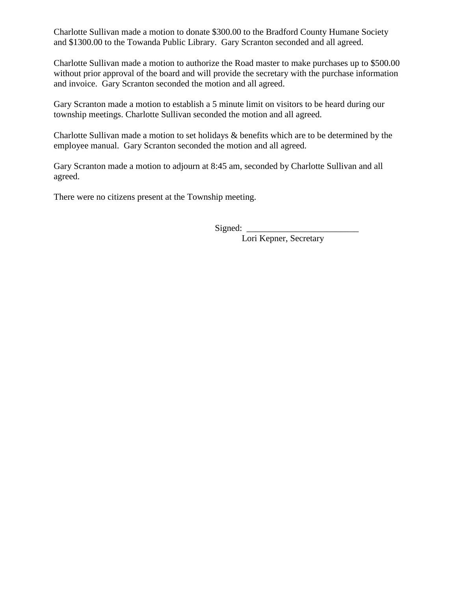Charlotte Sullivan made a motion to donate \$300.00 to the Bradford County Humane Society and \$1300.00 to the Towanda Public Library. Gary Scranton seconded and all agreed.

Charlotte Sullivan made a motion to authorize the Road master to make purchases up to \$500.00 without prior approval of the board and will provide the secretary with the purchase information and invoice. Gary Scranton seconded the motion and all agreed.

Gary Scranton made a motion to establish a 5 minute limit on visitors to be heard during our township meetings. Charlotte Sullivan seconded the motion and all agreed.

Charlotte Sullivan made a motion to set holidays & benefits which are to be determined by the employee manual. Gary Scranton seconded the motion and all agreed.

Gary Scranton made a motion to adjourn at 8:45 am, seconded by Charlotte Sullivan and all agreed.

There were no citizens present at the Township meeting.

 $Signed:$ 

Lori Kepner, Secretary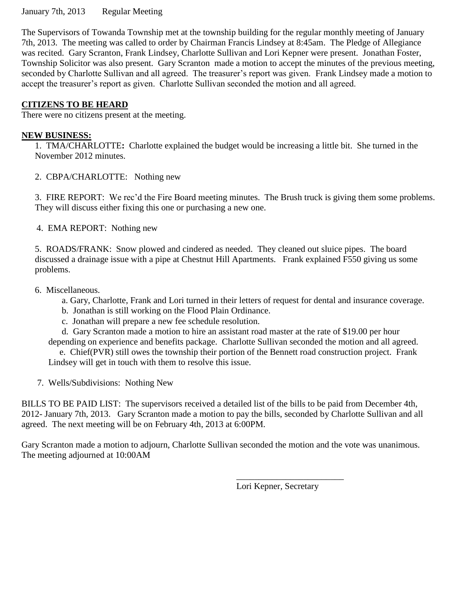January 7th, 2013 Regular Meeting

The Supervisors of Towanda Township met at the township building for the regular monthly meeting of January 7th, 2013. The meeting was called to order by Chairman Francis Lindsey at 8:45am. The Pledge of Allegiance was recited. Gary Scranton, Frank Lindsey, Charlotte Sullivan and Lori Kepner were present. Jonathan Foster, Township Solicitor was also present. Gary Scranton made a motion to accept the minutes of the previous meeting, seconded by Charlotte Sullivan and all agreed. The treasurer's report was given. Frank Lindsey made a motion to accept the treasurer's report as given. Charlotte Sullivan seconded the motion and all agreed.

#### **CITIZENS TO BE HEARD**

There were no citizens present at the meeting.

#### **NEW BUSINESS:**

1.TMA/CHARLOTTE**:** Charlotte explained the budget would be increasing a little bit. She turned in the November 2012 minutes.

2.CBPA/CHARLOTTE:Nothing new

3. FIRE REPORT: We rec'd the Fire Board meeting minutes. The Brush truck is giving them some problems. They will discuss either fixing this one or purchasing a new one.

4. EMA REPORT: Nothing new

5. ROADS/FRANK: Snow plowed and cindered as needed. They cleaned out sluice pipes. The board discussed a drainage issue with a pipe at Chestnut Hill Apartments. Frank explained F550 giving us some problems.

#### 6. Miscellaneous.

a. Gary, Charlotte, Frank and Lori turned in their letters of request for dental and insurance coverage.

- b. Jonathan is still working on the Flood Plain Ordinance.
- c. Jonathan will prepare a new fee schedule resolution.

 d. Gary Scranton made a motion to hire an assistant road master at the rate of \$19.00 per hour depending on experience and benefits package. Charlotte Sullivan seconded the motion and all agreed.

 e. Chief(PVR) still owes the township their portion of the Bennett road construction project. Frank Lindsey will get in touch with them to resolve this issue.

7. Wells/Subdivisions: Nothing New

BILLS TO BE PAID LIST: The supervisors received a detailed list of the bills to be paid from December 4th, 2012- January 7th, 2013. Gary Scranton made a motion to pay the bills, seconded by Charlotte Sullivan and all agreed. The next meeting will be on February 4th, 2013 at 6:00PM.

Gary Scranton made a motion to adjourn, Charlotte Sullivan seconded the motion and the vote was unanimous. The meeting adjourned at 10:00AM

Lori Kepner, Secretary

\_\_\_\_\_\_\_\_\_\_\_\_\_\_\_\_\_\_\_\_\_\_\_\_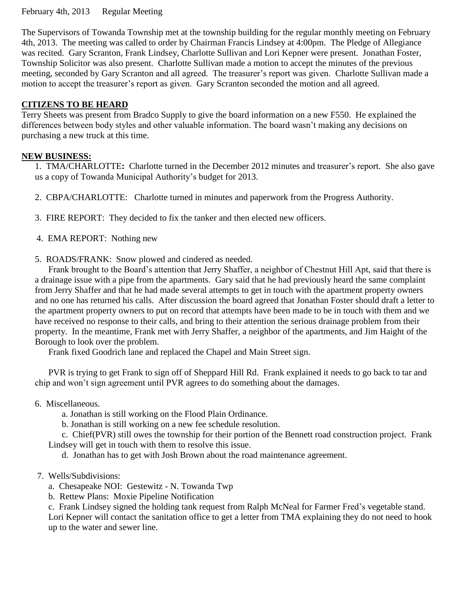February 4th, 2013 Regular Meeting

The Supervisors of Towanda Township met at the township building for the regular monthly meeting on February 4th, 2013. The meeting was called to order by Chairman Francis Lindsey at 4:00pm. The Pledge of Allegiance was recited. Gary Scranton, Frank Lindsey, Charlotte Sullivan and Lori Kepner were present. Jonathan Foster, Township Solicitor was also present. Charlotte Sullivan made a motion to accept the minutes of the previous meeting, seconded by Gary Scranton and all agreed. The treasurer's report was given. Charlotte Sullivan made a motion to accept the treasurer's report as given. Gary Scranton seconded the motion and all agreed.

### **CITIZENS TO BE HEARD**

Terry Sheets was present from Bradco Supply to give the board information on a new F550. He explained the differences between body styles and other valuable information. The board wasn't making any decisions on purchasing a new truck at this time.

### **NEW BUSINESS:**

1.TMA/CHARLOTTE**:** Charlotte turned in the December 2012 minutes and treasurer's report. She also gave us a copy of Towanda Municipal Authority's budget for 2013.

- 2. CBPA/CHARLOTTE:Charlotte turned in minutes and paperwork from the Progress Authority.
- 3. FIRE REPORT: They decided to fix the tanker and then elected new officers.
- 4. EMA REPORT: Nothing new
- 5. ROADS/FRANK: Snow plowed and cindered as needed.

Frank brought to the Board's attention that Jerry Shaffer, a neighbor of Chestnut Hill Apt, said that there is a drainage issue with a pipe from the apartments. Gary said that he had previously heard the same complaint from Jerry Shaffer and that he had made several attempts to get in touch with the apartment property owners and no one has returned his calls. After discussion the board agreed that Jonathan Foster should draft a letter to the apartment property owners to put on record that attempts have been made to be in touch with them and we have received no response to their calls, and bring to their attention the serious drainage problem from their property. In the meantime, Frank met with Jerry Shaffer, a neighbor of the apartments, and Jim Haight of the Borough to look over the problem.

Frank fixed Goodrich lane and replaced the Chapel and Main Street sign.

PVR is trying to get Frank to sign off of Sheppard Hill Rd. Frank explained it needs to go back to tar and chip and won't sign agreement until PVR agrees to do something about the damages.

- 6. Miscellaneous.
	- a. Jonathan is still working on the Flood Plain Ordinance.
	- b. Jonathan is still working on a new fee schedule resolution.

 c. Chief(PVR) still owes the township for their portion of the Bennett road construction project. Frank Lindsey will get in touch with them to resolve this issue.

d. Jonathan has to get with Josh Brown about the road maintenance agreement.

- 7. Wells/Subdivisions:
	- a. Chesapeake NOI: Gestewitz N. Towanda Twp
	- b. Rettew Plans: Moxie Pipeline Notification

c. Frank Lindsey signed the holding tank request from Ralph McNeal for Farmer Fred's vegetable stand.

Lori Kepner will contact the sanitation office to get a letter from TMA explaining they do not need to hook up to the water and sewer line.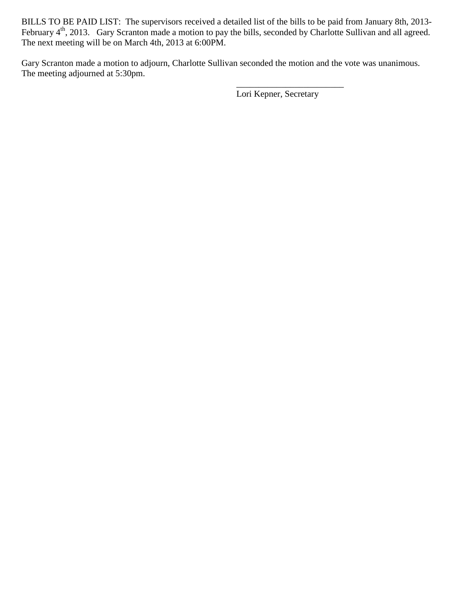BILLS TO BE PAID LIST: The supervisors received a detailed list of the bills to be paid from January 8th, 2013- February 4<sup>th</sup>, 2013. Gary Scranton made a motion to pay the bills, seconded by Charlotte Sullivan and all agreed. The next meeting will be on March 4th, 2013 at 6:00PM.

Gary Scranton made a motion to adjourn, Charlotte Sullivan seconded the motion and the vote was unanimous. The meeting adjourned at 5:30pm.

Lori Kepner, Secretary

\_\_\_\_\_\_\_\_\_\_\_\_\_\_\_\_\_\_\_\_\_\_\_\_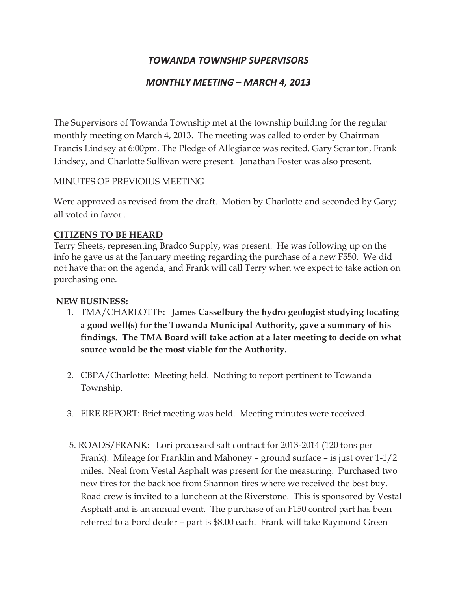# *TOWANDA TOWNSHIP SUPERVISORS*

## *MONTHLY MEETING – MARCH 4, 2013*

The Supervisors of Towanda Township met at the township building for the regular monthly meeting on March 4, 2013. The meeting was called to order by Chairman Francis Lindsey at 6:00pm. The Pledge of Allegiance was recited. Gary Scranton, Frank Lindsey, and Charlotte Sullivan were present. Jonathan Foster was also present.

### MINUTES OF PREVIOIUS MEETING

Were approved as revised from the draft. Motion by Charlotte and seconded by Gary; all voted in favor .

### **CITIZENS TO BE HEARD**

Terry Sheets, representing Bradco Supply, was present. He was following up on the info he gave us at the January meeting regarding the purchase of a new F550. We did not have that on the agenda, and Frank will call Terry when we expect to take action on purchasing one.

### **NEW BUSINESS:**

- 1. TMA/CHARLOTTE**: James Casselbury the hydro geologist studying locating a good well(s) for the Towanda Municipal Authority, gave a summary of his findings. The TMA Board will take action at a later meeting to decide on what source would be the most viable for the Authority.**
- 2. CBPA/Charlotte: Meeting held. Nothing to report pertinent to Towanda Township.
- 3. FIRE REPORT: Brief meeting was held. Meeting minutes were received.
- 5. ROADS/FRANK: Lori processed salt contract for 2013-2014 (120 tons per Frank). Mileage for Franklin and Mahoney – ground surface – is just over 1-1/2 miles. Neal from Vestal Asphalt was present for the measuring. Purchased two new tires for the backhoe from Shannon tires where we received the best buy. Road crew is invited to a luncheon at the Riverstone. This is sponsored by Vestal Asphalt and is an annual event. The purchase of an F150 control part has been referred to a Ford dealer – part is \$8.00 each. Frank will take Raymond Green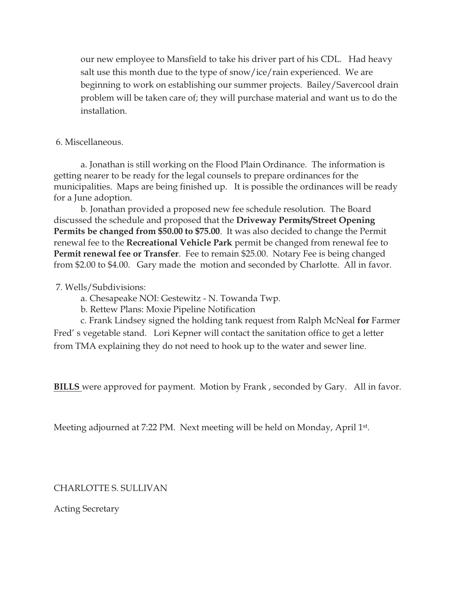our new employee to Mansfield to take his driver part of his CDL. Had heavy salt use this month due to the type of snow/ice/rain experienced. We are beginning to work on establishing our summer projects. Bailey/Savercool drain problem will be taken care of; they will purchase material and want us to do the installation.

### 6. Miscellaneous.

a. Jonathan is still working on the Flood Plain Ordinance. The information is getting nearer to be ready for the legal counsels to prepare ordinances for the municipalities. Maps are being finished up. It is possible the ordinances will be ready for a June adoption.

b. Jonathan provided a proposed new fee schedule resolution. The Board discussed the schedule and proposed that the **Driveway Permits/Street Opening Permits be changed from \$50.00 to \$75.00**. It was also decided to change the Permit renewal fee to the **Recreational Vehicle Park** permit be changed from renewal fee to **Permit renewal fee or Transfer**. Fee to remain \$25.00. Notary Fee is being changed from \$2.00 to \$4.00. Gary made the motion and seconded by Charlotte. All in favor.

7. Wells/Subdivisions:

- a. Chesapeake NOI: Gestewitz N. Towanda Twp.
- b. Rettew Plans: Moxie Pipeline Notification

c. Frank Lindsey signed the holding tank request from Ralph McNeal **for** Farmer Fred' s vegetable stand. Lori Kepner will contact the sanitation office to get a letter from TMA explaining they do not need to hook up to the water and sewer line.

**BILLS** were approved for payment. Motion by Frank , seconded by Gary. All in favor.

Meeting adjourned at 7:22 PM. Next meeting will be held on Monday, April 1st.

## CHARLOTTE S. SULLIVAN

Acting Secretary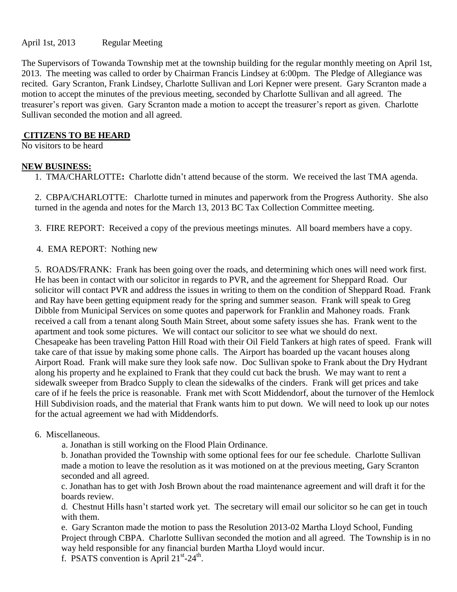April 1st, 2013 Regular Meeting

The Supervisors of Towanda Township met at the township building for the regular monthly meeting on April 1st, 2013. The meeting was called to order by Chairman Francis Lindsey at 6:00pm. The Pledge of Allegiance was recited. Gary Scranton, Frank Lindsey, Charlotte Sullivan and Lori Kepner were present. Gary Scranton made a motion to accept the minutes of the previous meeting, seconded by Charlotte Sullivan and all agreed. The treasurer's report was given. Gary Scranton made a motion to accept the treasurer's report as given. Charlotte Sullivan seconded the motion and all agreed.

#### **CITIZENS TO BE HEARD**

No visitors to be heard

### **NEW BUSINESS:**

1.TMA/CHARLOTTE**:** Charlotte didn't attend because of the storm. We received the last TMA agenda.

2.CBPA/CHARLOTTE:Charlotte turned in minutes and paperwork from the Progress Authority. She also turned in the agenda and notes for the March 13, 2013 BC Tax Collection Committee meeting.

3. FIRE REPORT: Received a copy of the previous meetings minutes. All board members have a copy.

4. EMA REPORT: Nothing new

5. ROADS/FRANK: Frank has been going over the roads, and determining which ones will need work first. He has been in contact with our solicitor in regards to PVR, and the agreement for Sheppard Road. Our solicitor will contact PVR and address the issues in writing to them on the condition of Sheppard Road. Frank and Ray have been getting equipment ready for the spring and summer season. Frank will speak to Greg Dibble from Municipal Services on some quotes and paperwork for Franklin and Mahoney roads. Frank received a call from a tenant along South Main Street, about some safety issues she has. Frank went to the apartment and took some pictures. We will contact our solicitor to see what we should do next. Chesapeake has been traveling Patton Hill Road with their Oil Field Tankers at high rates of speed. Frank will take care of that issue by making some phone calls. The Airport has boarded up the vacant houses along Airport Road. Frank will make sure they look safe now. Doc Sullivan spoke to Frank about the Dry Hydrant along his property and he explained to Frank that they could cut back the brush. We may want to rent a sidewalk sweeper from Bradco Supply to clean the sidewalks of the cinders. Frank will get prices and take care of if he feels the price is reasonable. Frank met with Scott Middendorf, about the turnover of the Hemlock Hill Subdivision roads, and the material that Frank wants him to put down. We will need to look up our notes for the actual agreement we had with Middendorfs.

#### 6. Miscellaneous.

a. Jonathan is still working on the Flood Plain Ordinance.

b. Jonathan provided the Township with some optional fees for our fee schedule. Charlotte Sullivan made a motion to leave the resolution as it was motioned on at the previous meeting, Gary Scranton seconded and all agreed.

c. Jonathan has to get with Josh Brown about the road maintenance agreement and will draft it for the boards review.

d. Chestnut Hills hasn't started work yet. The secretary will email our solicitor so he can get in touch with them.

e. Gary Scranton made the motion to pass the Resolution 2013-02 Martha Lloyd School, Funding Project through CBPA. Charlotte Sullivan seconded the motion and all agreed. The Township is in no way held responsible for any financial burden Martha Lloyd would incur.

f. PSATS convention is April  $21^{\text{st}}$ -24<sup>th</sup>.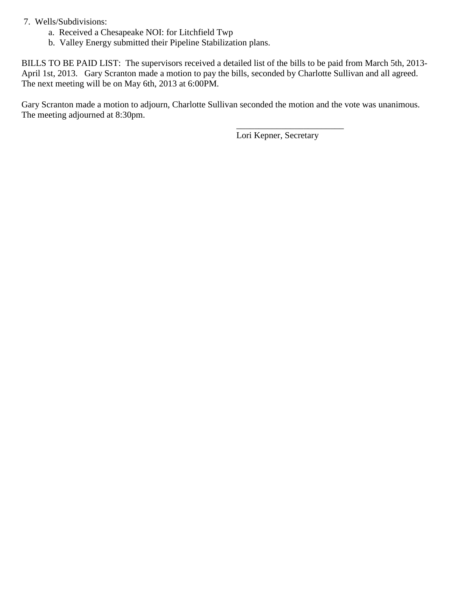- 7. Wells/Subdivisions:
	- a. Received a Chesapeake NOI: for Litchfield Twp
	- b. Valley Energy submitted their Pipeline Stabilization plans.

BILLS TO BE PAID LIST: The supervisors received a detailed list of the bills to be paid from March 5th, 2013- April 1st, 2013. Gary Scranton made a motion to pay the bills, seconded by Charlotte Sullivan and all agreed. The next meeting will be on May 6th, 2013 at 6:00PM.

Gary Scranton made a motion to adjourn, Charlotte Sullivan seconded the motion and the vote was unanimous. The meeting adjourned at 8:30pm.

Lori Kepner, Secretary

\_\_\_\_\_\_\_\_\_\_\_\_\_\_\_\_\_\_\_\_\_\_\_\_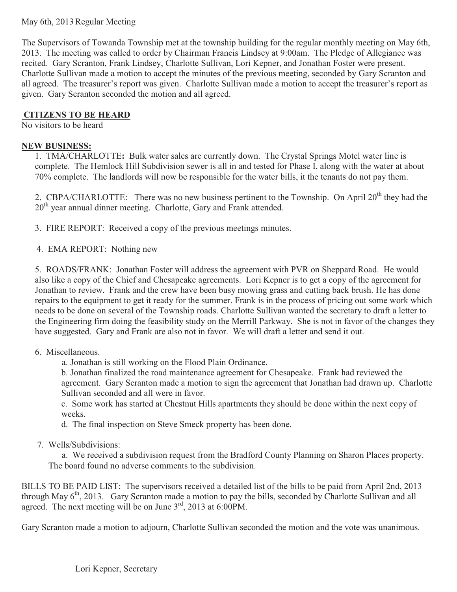May 6th, 2013 Regular Meeting

The Supervisors of Towanda Township met at the township building for the regular monthly meeting on May 6th, 2013. The meeting was called to order by Chairman Francis Lindsey at 9:00am. The Pledge of Allegiance was recited. Gary Scranton, Frank Lindsey, Charlotte Sullivan, Lori Kepner, and Jonathan Foster were present. Charlotte Sullivan made a motion to accept the minutes of the previous meeting, seconded by Gary Scranton and all agreed. The treasurer's report was given. Charlotte Sullivan made a motion to accept the treasurer's report as given. Gary Scranton seconded the motion and all agreed.

# **CITIZENS TO BE HEARD**

No visitors to be heard

## **NEW BUSINESS:**

1.TMA/CHARLOTTE**:** Bulk water sales are currently down. The Crystal Springs Motel water line is complete. The Hemlock Hill Subdivision sewer is all in and tested for Phase I, along with the water at about 70% complete. The landlords will now be responsible for the water bills, it the tenants do not pay them.

2. CBPA/CHARLOTTE: There was no new business pertinent to the Township. On April 20<sup>th</sup> they had the 20<sup>th</sup> year annual dinner meeting. Charlotte, Gary and Frank attended.

- 3. FIRE REPORT: Received a copy of the previous meetings minutes.
- 4. EMA REPORT: Nothing new

5. ROADS/FRANK: Jonathan Foster will address the agreement with PVR on Sheppard Road. He would also like a copy of the Chief and Chesapeake agreements. Lori Kepner is to get a copy of the agreement for Jonathan to review. Frank and the crew have been busy mowing grass and cutting back brush. He has done repairs to the equipment to get it ready for the summer. Frank is in the process of pricing out some work which needs to be done on several of the Township roads. Charlotte Sullivan wanted the secretary to draft a letter to the Engineering firm doing the feasibility study on the Merrill Parkway. She is not in favor of the changes they have suggested. Gary and Frank are also not in favor. We will draft a letter and send it out.

- 6. Miscellaneous.
	- a. Jonathan is still working on the Flood Plain Ordinance.

b. Jonathan finalized the road maintenance agreement for Chesapeake. Frank had reviewed the agreement. Gary Scranton made a motion to sign the agreement that Jonathan had drawn up. Charlotte Sullivan seconded and all were in favor.

c. Some work has started at Chestnut Hills apartments they should be done within the next copy of weeks.

- d. The final inspection on Steve Smeck property has been done.
- 7. Wells/Subdivisions:

\_\_\_\_\_\_\_\_\_\_\_\_\_\_\_\_\_\_\_\_\_\_\_\_

 a. We received a subdivision request from the Bradford County Planning on Sharon Places property. The board found no adverse comments to the subdivision.

BILLS TO BE PAID LIST: The supervisors received a detailed list of the bills to be paid from April 2nd, 2013 through May  $6<sup>th</sup>$ , 2013. Gary Scranton made a motion to pay the bills, seconded by Charlotte Sullivan and all agreed. The next meeting will be on June  $3<sup>rd</sup>$ , 2013 at 6:00PM.

Gary Scranton made a motion to adjourn, Charlotte Sullivan seconded the motion and the vote was unanimous.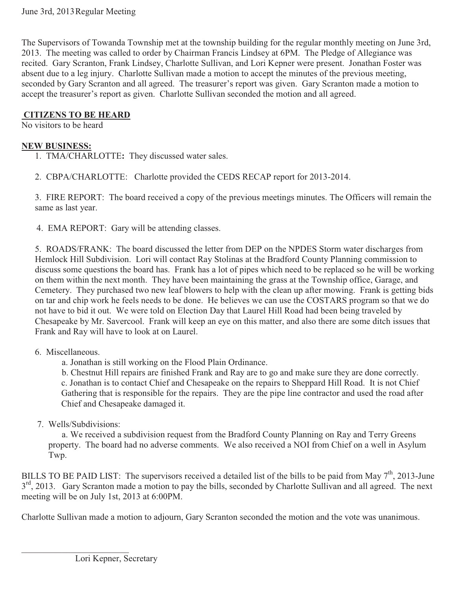The Supervisors of Towanda Township met at the township building for the regular monthly meeting on June 3rd, 2013. The meeting was called to order by Chairman Francis Lindsey at 6PM. The Pledge of Allegiance was recited. Gary Scranton, Frank Lindsey, Charlotte Sullivan, and Lori Kepner were present. Jonathan Foster was absent due to a leg injury. Charlotte Sullivan made a motion to accept the minutes of the previous meeting, seconded by Gary Scranton and all agreed. The treasurer's report was given. Gary Scranton made a motion to accept the treasurer's report as given. Charlotte Sullivan seconded the motion and all agreed.

## **CITIZENS TO BE HEARD**

No visitors to be heard

## **NEW BUSINESS:**

- 1.TMA/CHARLOTTE**:** They discussed water sales.
- 2.CBPA/CHARLOTTE:Charlotte provided the CEDS RECAP report for 2013-2014.

3. FIRE REPORT: The board received a copy of the previous meetings minutes. The Officers will remain the same as last year.

4. EMA REPORT: Gary will be attending classes.

5. ROADS/FRANK: The board discussed the letter from DEP on the NPDES Storm water discharges from Hemlock Hill Subdivision. Lori will contact Ray Stolinas at the Bradford County Planning commission to discuss some questions the board has. Frank has a lot of pipes which need to be replaced so he will be working on them within the next month. They have been maintaining the grass at the Township office, Garage, and Cemetery. They purchased two new leaf blowers to help with the clean up after mowing. Frank is getting bids on tar and chip work he feels needs to be done. He believes we can use the COSTARS program so that we do not have to bid it out. We were told on Election Day that Laurel Hill Road had been being traveled by Chesapeake by Mr. Savercool. Frank will keep an eye on this matter, and also there are some ditch issues that Frank and Ray will have to look at on Laurel.

- 6. Miscellaneous.
	- a. Jonathan is still working on the Flood Plain Ordinance.

 b. Chestnut Hill repairs are finished Frank and Ray are to go and make sure they are done correctly. c. Jonathan is to contact Chief and Chesapeake on the repairs to Sheppard Hill Road. It is not Chief Gathering that is responsible for the repairs. They are the pipe line contractor and used the road after Chief and Chesapeake damaged it.

7. Wells/Subdivisions:

\_\_\_\_\_\_\_\_\_\_\_\_\_\_\_\_\_\_\_\_\_\_\_\_

 a. We received a subdivision request from the Bradford County Planning on Ray and Terry Greens property. The board had no adverse comments. We also received a NOI from Chief on a well in Asylum Twp.

BILLS TO BE PAID LIST: The supervisors received a detailed list of the bills to be paid from May  $7<sup>th</sup>$ , 2013-June  $3<sup>rd</sup>$ , 2013. Gary Scranton made a motion to pay the bills, seconded by Charlotte Sullivan and all agreed. The next meeting will be on July 1st, 2013 at 6:00PM.

Charlotte Sullivan made a motion to adjourn, Gary Scranton seconded the motion and the vote was unanimous.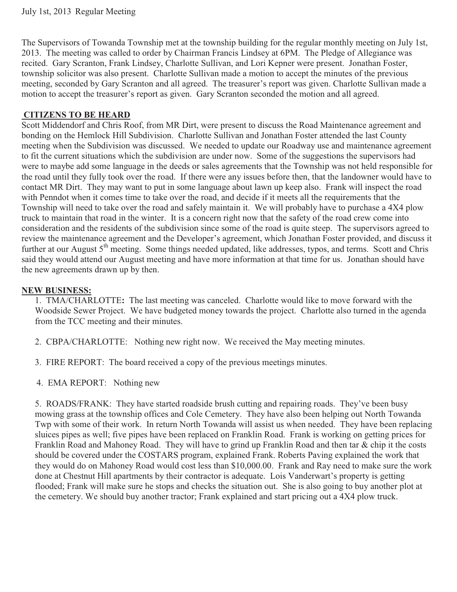The Supervisors of Towanda Township met at the township building for the regular monthly meeting on July 1st, 2013. The meeting was called to order by Chairman Francis Lindsey at 6PM. The Pledge of Allegiance was recited. Gary Scranton, Frank Lindsey, Charlotte Sullivan, and Lori Kepner were present. Jonathan Foster, township solicitor was also present. Charlotte Sullivan made a motion to accept the minutes of the previous meeting, seconded by Gary Scranton and all agreed. The treasurer's report was given. Charlotte Sullivan made a motion to accept the treasurer's report as given. Gary Scranton seconded the motion and all agreed.

#### **CITIZENS TO BE HEARD**

Scott Middendorf and Chris Roof, from MR Dirt, were present to discuss the Road Maintenance agreement and bonding on the Hemlock Hill Subdivision. Charlotte Sullivan and Jonathan Foster attended the last County meeting when the Subdivision was discussed. We needed to update our Roadway use and maintenance agreement to fit the current situations which the subdivision are under now. Some of the suggestions the supervisors had were to maybe add some language in the deeds or sales agreements that the Township was not held responsible for the road until they fully took over the road. If there were any issues before then, that the landowner would have to contact MR Dirt. They may want to put in some language about lawn up keep also. Frank will inspect the road with Penndot when it comes time to take over the road, and decide if it meets all the requirements that the Township will need to take over the road and safely maintain it. We will probably have to purchase a 4X4 plow truck to maintain that road in the winter. It is a concern right now that the safety of the road crew come into consideration and the residents of the subdivision since some of the road is quite steep. The supervisors agreed to review the maintenance agreement and the Developer's agreement, which Jonathan Foster provided, and discuss it further at our August 5<sup>th</sup> meeting. Some things needed updated, like addresses, typos, and terms. Scott and Chris said they would attend our August meeting and have more information at that time for us. Jonathan should have the new agreements drawn up by then.

### **NEW BUSINESS:**

1.TMA/CHARLOTTE**:** The last meeting was canceled. Charlotte would like to move forward with the Woodside Sewer Project. We have budgeted money towards the project. Charlotte also turned in the agenda from the TCC meeting and their minutes.

- 2.CBPA/CHARLOTTE:Nothing new right now. We received the May meeting minutes.
- 3. FIRE REPORT: The board received a copy of the previous meetings minutes.
- 4. EMA REPORT: Nothing new

5. ROADS/FRANK: They have started roadside brush cutting and repairing roads. They've been busy mowing grass at the township offices and Cole Cemetery. They have also been helping out North Towanda Twp with some of their work. In return North Towanda will assist us when needed. They have been replacing sluices pipes as well; five pipes have been replaced on Franklin Road. Frank is working on getting prices for Franklin Road and Mahoney Road. They will have to grind up Franklin Road and then tar & chip it the costs should be covered under the COSTARS program, explained Frank. Roberts Paving explained the work that they would do on Mahoney Road would cost less than \$10,000.00. Frank and Ray need to make sure the work done at Chestnut Hill apartments by their contractor is adequate. Lois Vanderwart's property is getting flooded; Frank will make sure he stops and checks the situation out. She is also going to buy another plot at the cemetery. We should buy another tractor; Frank explained and start pricing out a 4X4 plow truck.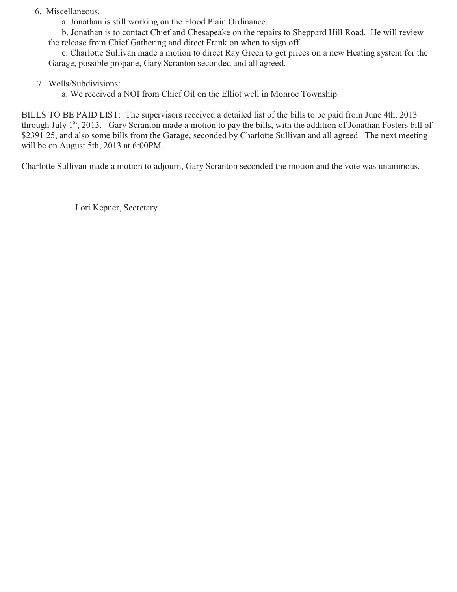### 6. Miscellaneous.

a. Jonathan is still working on the Flood Plain Ordinance.

 b. Jonathan is to contact Chief and Chesapeake on the repairs to Sheppard Hill Road. He will review the release from Chief Gathering and direct Frank on when to sign off.

 c. Charlotte Sullivan made a motion to direct Ray Green to get prices on a new Heating system for the Garage, possible propane, Gary Scranton seconded and all agreed.

## 7. Wells/Subdivisions:

\_\_\_\_\_\_\_\_\_\_\_\_\_\_\_\_\_\_\_\_\_\_\_\_

a. We received a NOI from Chief Oil on the Elliot well in Monroe Township.

BILLS TO BE PAID LIST: The supervisors received a detailed list of the bills to be paid from June 4th, 2013 through July  $1<sup>st</sup>$ , 2013. Gary Scranton made a motion to pay the bills, with the addition of Jonathan Fosters bill of \$2391.25, and also some bills from the Garage, seconded by Charlotte Sullivan and all agreed. The next meeting will be on August 5th, 2013 at 6:00PM.

Charlotte Sullivan made a motion to adjourn, Gary Scranton seconded the motion and the vote was unanimous.

Lori Kepner, Secretary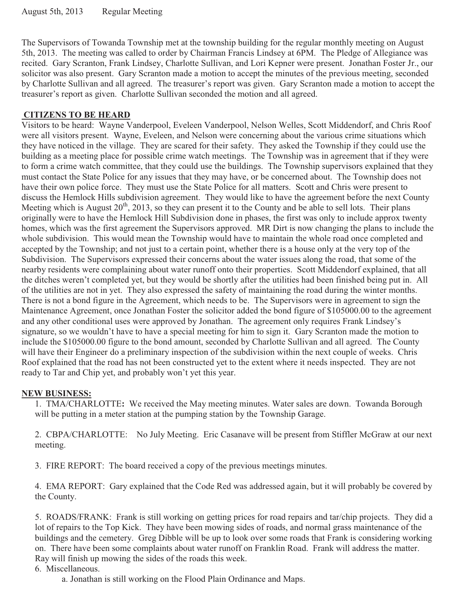The Supervisors of Towanda Township met at the township building for the regular monthly meeting on August 5th, 2013. The meeting was called to order by Chairman Francis Lindsey at 6PM. The Pledge of Allegiance was recited. Gary Scranton, Frank Lindsey, Charlotte Sullivan, and Lori Kepner were present. Jonathan Foster Jr., our solicitor was also present. Gary Scranton made a motion to accept the minutes of the previous meeting, seconded by Charlotte Sullivan and all agreed. The treasurer's report was given. Gary Scranton made a motion to accept the treasurer's report as given. Charlotte Sullivan seconded the motion and all agreed.

#### **CITIZENS TO BE HEARD**

Visitors to be heard: Wayne Vanderpool, Eveleen Vanderpool, Nelson Welles, Scott Middendorf, and Chris Roof were all visitors present. Wayne, Eveleen, and Nelson were concerning about the various crime situations which they have noticed in the village. They are scared for their safety. They asked the Township if they could use the building as a meeting place for possible crime watch meetings. The Township was in agreement that if they were to form a crime watch committee, that they could use the buildings. The Township supervisors explained that they must contact the State Police for any issues that they may have, or be concerned about. The Township does not have their own police force. They must use the State Police for all matters. Scott and Chris were present to discuss the Hemlock Hills subdivision agreement. They would like to have the agreement before the next County Meeting which is August  $20^{th}$ , 2013, so they can present it to the County and be able to sell lots. Their plans originally were to have the Hemlock Hill Subdivision done in phases, the first was only to include approx twenty homes, which was the first agreement the Supervisors approved. MR Dirt is now changing the plans to include the whole subdivision. This would mean the Township would have to maintain the whole road once completed and accepted by the Township; and not just to a certain point, whether there is a house only at the very top of the Subdivision. The Supervisors expressed their concerns about the water issues along the road, that some of the nearby residents were complaining about water runoff onto their properties. Scott Middendorf explained, that all the ditches weren't completed yet, but they would be shortly after the utilities had been finished being put in. All of the utilities are not in yet. They also expressed the safety of maintaining the road during the winter months. There is not a bond figure in the Agreement, which needs to be. The Supervisors were in agreement to sign the Maintenance Agreement, once Jonathan Foster the solicitor added the bond figure of \$105000.00 to the agreement and any other conditional uses were approved by Jonathan. The agreement only requires Frank Lindsey's signature, so we wouldn't have to have a special meeting for him to sign it. Gary Scranton made the motion to include the \$105000.00 figure to the bond amount, seconded by Charlotte Sullivan and all agreed. The County will have their Engineer do a preliminary inspection of the subdivision within the next couple of weeks. Chris Roof explained that the road has not been constructed yet to the extent where it needs inspected. They are not ready to Tar and Chip yet, and probably won't yet this year.

#### **NEW BUSINESS:**

1.TMA/CHARLOTTE**:** We received the May meeting minutes. Water sales are down. Towanda Borough will be putting in a meter station at the pumping station by the Township Garage.

2.CBPA/CHARLOTTE:No July Meeting. Eric Casanave will be present from Stiffler McGraw at our next meeting.

3. FIRE REPORT: The board received a copy of the previous meetings minutes.

4. EMA REPORT: Gary explained that the Code Red was addressed again, but it will probably be covered by the County.

5. ROADS/FRANK: Frank is still working on getting prices for road repairs and tar/chip projects. They did a lot of repairs to the Top Kick. They have been mowing sides of roads, and normal grass maintenance of the buildings and the cemetery. Greg Dibble will be up to look over some roads that Frank is considering working on. There have been some complaints about water runoff on Franklin Road. Frank will address the matter. Ray will finish up mowing the sides of the roads this week.

#### 6. Miscellaneous.

a. Jonathan is still working on the Flood Plain Ordinance and Maps.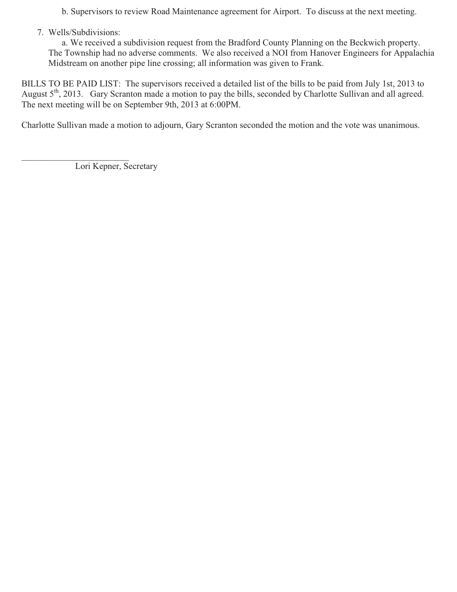- b. Supervisors to review Road Maintenance agreement for Airport. To discuss at the next meeting.
- 7. Wells/Subdivisions:

 a. We received a subdivision request from the Bradford County Planning on the Beckwich property. The Township had no adverse comments. We also received a NOI from Hanover Engineers for Appalachia Midstream on another pipe line crossing; all information was given to Frank.

BILLS TO BE PAID LIST: The supervisors received a detailed list of the bills to be paid from July 1st, 2013 to August 5<sup>th</sup>, 2013. Gary Scranton made a motion to pay the bills, seconded by Charlotte Sullivan and all agreed. The next meeting will be on September 9th, 2013 at 6:00PM.

Charlotte Sullivan made a motion to adjourn, Gary Scranton seconded the motion and the vote was unanimous.

\_\_\_\_\_\_\_\_\_\_\_\_\_\_\_\_\_\_\_\_\_\_\_\_ Lori Kepner, Secretary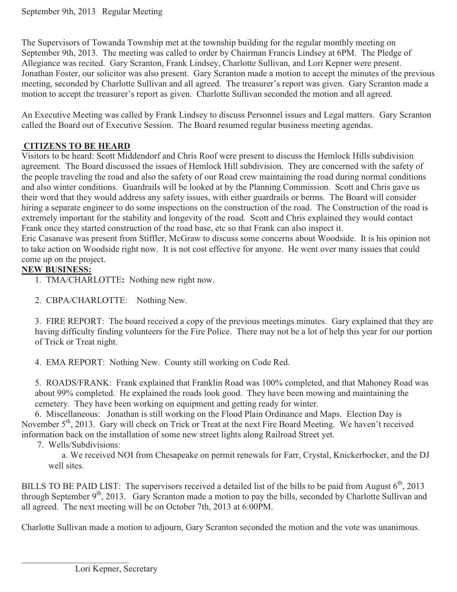The Supervisors of Towanda Township met at the township building for the regular monthly meeting on September 9th, 2013. The meeting was called to order by Chairman Francis Lindsey at 6PM. The Pledge of Allegiance was recited. Gary Scranton, Frank Lindsey, Charlotte Sullivan, and Lori Kepner were present. Jonathan Foster, our solicitor was also present. Gary Scranton made a motion to accept the minutes of the previous meeting, seconded by Charlotte Sullivan and all agreed. The treasurer's report was given. Gary Scranton made a motion to accept the treasurer's report as given. Charlotte Sullivan seconded the motion and all agreed.

An Executive Meeting was called by Frank Lindsey to discuss Personnel issues and Legal matters. Gary Scranton called the Board out of Executive Session. The Board resumed regular business meeting agendas.

## **CITIZENS TO BE HEARD**

Visitors to be heard: Scott Middendorf and Chris Roof were present to discuss the Hemlock Hills subdivision agreement. The Board discussed the issues of Hemlock Hill subdivision. They are concerned with the safety of the people traveling the road and also the safety of our Road crew maintaining the road during normal conditions and also winter conditions. Guardrails will be looked at by the Planning Commission. Scott and Chris gave us their word that they would address any safety issues, with either guardrails or berms. The Board will consider hiring a separate engineer to do some inspections on the construction of the road. The Construction of the road is extremely important for the stability and longevity of the road. Scott and Chris explained they would contact Frank once they started construction of the road base, etc so that Frank can also inspect it.

Eric Casanave was present from Stiffler, McGraw to discuss some concerns about Woodside. It is his opinion not to take action on Woodside right now. It is not cost effective for anyone. He went over many issues that could come up on the project.

### **NEW BUSINESS:**

1.TMA/CHARLOTTE**:** Nothing new right now.

2.CBPA/CHARLOTTE:Nothing New.

3. FIRE REPORT: The board received a copy of the previous meetings minutes. Gary explained that they are having difficulty finding volunteers for the Fire Police. There may not be a lot of help this year for our portion of Trick or Treat night.

4. EMA REPORT: Nothing New. County still working on Code Red.

5. ROADS/FRANK: Frank explained that Franklin Road was 100% completed, and that Mahoney Road was about 99% completed. He explained the roads look good. They have been mowing and maintaining the cemetery. They have been working on equipment and getting ready for winter.

6. Miscellaneous: Jonathan is still working on the Flood Plain Ordinance and Maps. Election Day is November  $5<sup>th</sup>$ , 2013. Gary will check on Trick or Treat at the next Fire Board Meeting. We haven't received information back on the installation of some new street lights along Railroad Street yet.

7. Wells/Subdivisions:

\_\_\_\_\_\_\_\_\_\_\_\_\_\_\_\_\_\_\_\_\_\_\_\_

 a. We received NOI from Chesapeake on permit renewals for Farr, Crystal, Knickerbocker, and the DJ well sites.

BILLS TO BE PAID LIST: The supervisors received a detailed list of the bills to be paid from August  $6<sup>th</sup>$ , 2013 through September  $9<sup>th</sup>$ , 2013. Gary Scranton made a motion to pay the bills, seconded by Charlotte Sullivan and all agreed. The next meeting will be on October 7th, 2013 at 6:00PM.

Charlotte Sullivan made a motion to adjourn, Gary Scranton seconded the motion and the vote was unanimous.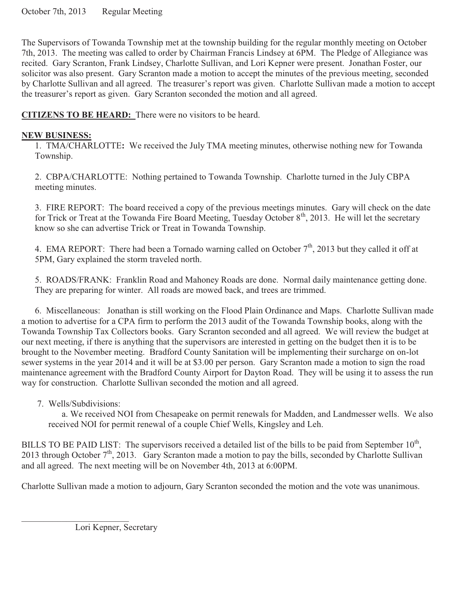The Supervisors of Towanda Township met at the township building for the regular monthly meeting on October 7th, 2013. The meeting was called to order by Chairman Francis Lindsey at 6PM. The Pledge of Allegiance was recited. Gary Scranton, Frank Lindsey, Charlotte Sullivan, and Lori Kepner were present. Jonathan Foster, our solicitor was also present. Gary Scranton made a motion to accept the minutes of the previous meeting, seconded by Charlotte Sullivan and all agreed. The treasurer's report was given. Charlotte Sullivan made a motion to accept the treasurer's report as given. Gary Scranton seconded the motion and all agreed.

**CITIZENS TO BE HEARD:** There were no visitors to be heard.

## **NEW BUSINESS:**

1.TMA/CHARLOTTE**:** We received the July TMA meeting minutes, otherwise nothing new for Towanda Township.

2.CBPA/CHARLOTTE: Nothing pertained to Towanda Township. Charlotte turned in the July CBPA meeting minutes.

3. FIRE REPORT: The board received a copy of the previous meetings minutes. Gary will check on the date for Trick or Treat at the Towanda Fire Board Meeting, Tuesday October  $8<sup>th</sup>$ , 2013. He will let the secretary know so she can advertise Trick or Treat in Towanda Township.

4. EMA REPORT: There had been a Tornado warning called on October  $7<sup>th</sup>$ , 2013 but they called it off at 5PM, Gary explained the storm traveled north.

5. ROADS/FRANK: Franklin Road and Mahoney Roads are done. Normal daily maintenance getting done. They are preparing for winter. All roads are mowed back, and trees are trimmed.

6. Miscellaneous: Jonathan is still working on the Flood Plain Ordinance and Maps. Charlotte Sullivan made a motion to advertise for a CPA firm to perform the 2013 audit of the Towanda Township books, along with the Towanda Township Tax Collectors books. Gary Scranton seconded and all agreed. We will review the budget at our next meeting, if there is anything that the supervisors are interested in getting on the budget then it is to be brought to the November meeting. Bradford County Sanitation will be implementing their surcharge on on-lot sewer systems in the year 2014 and it will be at \$3.00 per person. Gary Scranton made a motion to sign the road maintenance agreement with the Bradford County Airport for Dayton Road. They will be using it to assess the run way for construction. Charlotte Sullivan seconded the motion and all agreed.

7. Wells/Subdivisions:

 a. We received NOI from Chesapeake on permit renewals for Madden, and Landmesser wells. We also received NOI for permit renewal of a couple Chief Wells, Kingsley and Leh.

BILLS TO BE PAID LIST: The supervisors received a detailed list of the bills to be paid from September  $10^{th}$ , 2013 through October 7<sup>th</sup>, 2013. Gary Scranton made a motion to pay the bills, seconded by Charlotte Sullivan and all agreed. The next meeting will be on November 4th, 2013 at 6:00PM.

Charlotte Sullivan made a motion to adjourn, Gary Scranton seconded the motion and the vote was unanimous.

\_\_\_\_\_\_\_\_\_\_\_\_\_\_\_\_\_\_\_\_\_\_\_\_ Lori Kepner, Secretary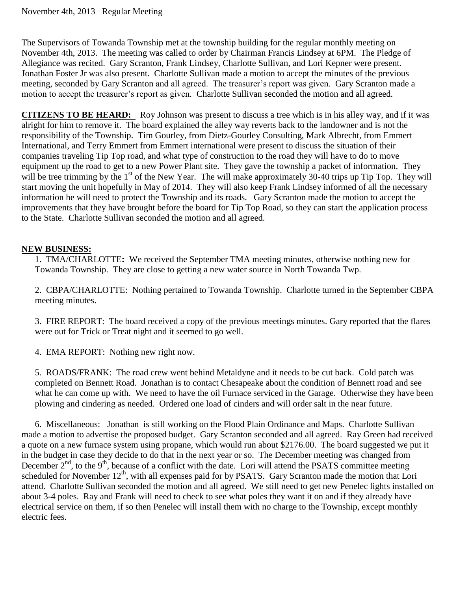The Supervisors of Towanda Township met at the township building for the regular monthly meeting on November 4th, 2013. The meeting was called to order by Chairman Francis Lindsey at 6PM. The Pledge of Allegiance was recited. Gary Scranton, Frank Lindsey, Charlotte Sullivan, and Lori Kepner were present. Jonathan Foster Jr was also present. Charlotte Sullivan made a motion to accept the minutes of the previous meeting, seconded by Gary Scranton and all agreed. The treasurer's report was given. Gary Scranton made a motion to accept the treasurer's report as given. Charlotte Sullivan seconded the motion and all agreed.

**CITIZENS TO BE HEARD:** Roy Johnson was present to discuss a tree which is in his alley way, and if it was alright for him to remove it. The board explained the alley way reverts back to the landowner and is not the responsibility of the Township. Tim Gourley, from Dietz-Gourley Consulting, Mark Albrecht, from Emmert International, and Terry Emmert from Emmert international were present to discuss the situation of their companies traveling Tip Top road, and what type of construction to the road they will have to do to move equipment up the road to get to a new Power Plant site. They gave the township a packet of information. They will be tree trimming by the  $1<sup>st</sup>$  of the New Year. The will make approximately 30-40 trips up Tip Top. They will start moving the unit hopefully in May of 2014. They will also keep Frank Lindsey informed of all the necessary information he will need to protect the Township and its roads. Gary Scranton made the motion to accept the improvements that they have brought before the board for Tip Top Road, so they can start the application process to the State. Charlotte Sullivan seconded the motion and all agreed.

#### **NEW BUSINESS:**

1.TMA/CHARLOTTE**:** We received the September TMA meeting minutes, otherwise nothing new for Towanda Township. They are close to getting a new water source in North Towanda Twp.

2.CBPA/CHARLOTTE: Nothing pertained to Towanda Township. Charlotte turned in the September CBPA meeting minutes.

3. FIRE REPORT: The board received a copy of the previous meetings minutes. Gary reported that the flares were out for Trick or Treat night and it seemed to go well.

4. EMA REPORT: Nothing new right now.

5. ROADS/FRANK: The road crew went behind Metaldyne and it needs to be cut back. Cold patch was completed on Bennett Road. Jonathan is to contact Chesapeake about the condition of Bennett road and see what he can come up with. We need to have the oil Furnace serviced in the Garage. Otherwise they have been plowing and cindering as needed. Ordered one load of cinders and will order salt in the near future.

6. Miscellaneous: Jonathan is still working on the Flood Plain Ordinance and Maps. Charlotte Sullivan made a motion to advertise the proposed budget. Gary Scranton seconded and all agreed. Ray Green had received a quote on a new furnace system using propane, which would run about \$2176.00. The board suggested we put it in the budget in case they decide to do that in the next year or so. The December meeting was changed from December  $2<sup>nd</sup>$ , to the  $9<sup>th</sup>$ , because of a conflict with the date. Lori will attend the PSATS committee meeting scheduled for November  $12<sup>th</sup>$ , with all expenses paid for by PSATS. Gary Scranton made the motion that Lori attend. Charlotte Sullivan seconded the motion and all agreed. We still need to get new Penelec lights installed on about 3-4 poles. Ray and Frank will need to check to see what poles they want it on and if they already have electrical service on them, if so then Penelec will install them with no charge to the Township, except monthly electric fees.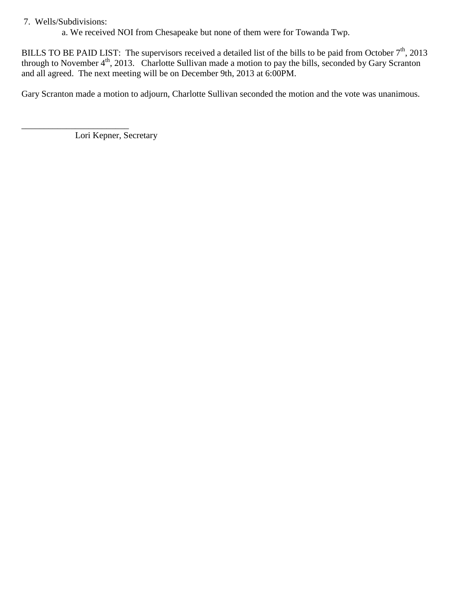### 7. Wells/Subdivisions:

\_\_\_\_\_\_\_\_\_\_\_\_\_\_\_\_\_\_\_\_\_\_\_\_

a. We received NOI from Chesapeake but none of them were for Towanda Twp.

BILLS TO BE PAID LIST: The supervisors received a detailed list of the bills to be paid from October  $7<sup>th</sup>$ , 2013 through to November 4<sup>th</sup>, 2013. Charlotte Sullivan made a motion to pay the bills, seconded by Gary Scranton and all agreed. The next meeting will be on December 9th, 2013 at 6:00PM.

Gary Scranton made a motion to adjourn, Charlotte Sullivan seconded the motion and the vote was unanimous.

Lori Kepner, Secretary